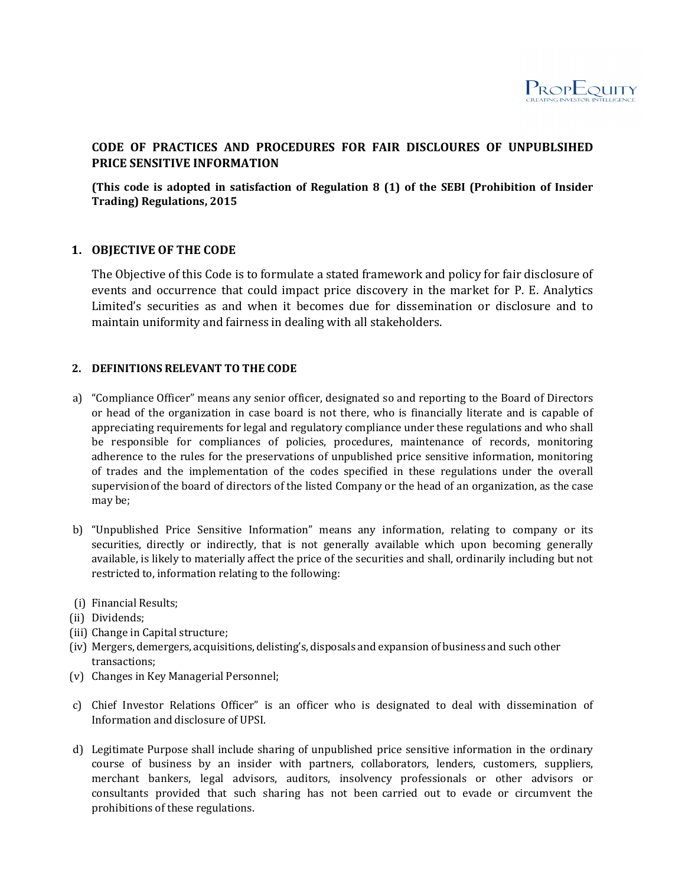

# **CODE OF PRACTICES AND PROCEDURES FOR FAIR DISCLOURES OF UNPUBLSIHED PRICE SENSITIVE INFORMATION**

**(This code is adopted in satisfaction of Regulation 8 (1) of the SEBI (Prohibition of Insider Trading) Regulations, 2015** 

# **1. OBJECTIVE OF THE CODE**

The Objective of this Code is to formulate a stated framework and policy for fair disclosure of events and occurrence that could impact price discovery in the market for P. E. Analytics Limited's securities as and when it becomes due for dissemination or disclosure and to maintain uniformity and fairness in dealing with all stakeholders.

# **2. DEFINITIONS RELEVANT TO THE CODE**

- a) "Compliance Officer" means any senior officer, designated so and reporting to the Board of Directors or head of the organization in case board is not there, who is financially literate and is capable of appreciating requirements for legal and regulatory compliance under these regulations and who shall be responsible for compliances of policies, procedures, maintenance of records, monitoring adherence to the rules for the preservations of unpublished price sensitive information, monitoring of trades and the implementation of the codes specified in these regulations under the overall supervision of the board of directors of the listed Company or the head of an organization, as the case may be;
- b) "Unpublished Price Sensitive Information" means any information, relating to company or its securities, directly or indirectly, that is not generally available which upon becoming generally available, is likely to materially affect the price of the securities and shall, ordinarily including but not restricted to, information relating to the following:
- (i) Financial Results;
- (ii) Dividends;
- (iii) Change in Capital structure;
- (iv) Mergers, demergers, acquisitions, delisting's, disposals and expansion of business and such other transactions;
- (v) Changes in Key Managerial Personnel;
- c) Chief Investor Relations Officer" is an officer who is designated to deal with dissemination of Information and disclosure of UPSI.
- d) Legitimate Purpose shall include sharing of unpublished price sensitive information in the ordinary course of business by an insider with partners, collaborators, lenders, customers, suppliers, merchant bankers, legal advisors, auditors, insolvency professionals or other advisors or consultants provided that such sharing has not been carried out to evade or circumvent the prohibitions of these regulations.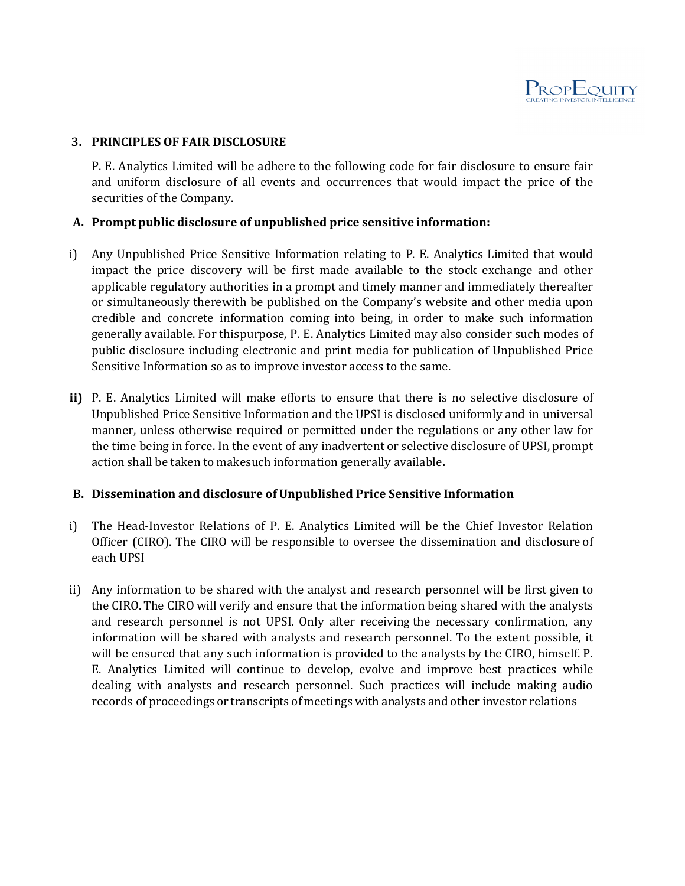

# **3. PRINCIPLES OF FAIR DISCLOSURE**

P. E. Analytics Limited will be adhere to the following code for fair disclosure to ensure fair and uniform disclosure of all events and occurrences that would impact the price of the securities of the Company.

# **A. Prompt public disclosure of unpublished price sensitive information:**

- i) Any Unpublished Price Sensitive Information relating to P. E. Analytics Limited that would impact the price discovery will be first made available to the stock exchange and other applicable regulatory authorities in a prompt and timely manner and immediately thereafter or simultaneously therewith be published on the Company's website and other media upon credible and concrete information coming into being, in order to make such information generally available. For this purpose, P. E. Analytics Limited may also consider such modes of public disclosure including electronic and print media for publication of Unpublished Price Sensitive Information so as to improve investor access to the same.
- **ii)** P. E. Analytics Limited will make efforts to ensure that there is no selective disclosure of Unpublished Price Sensitive Information and the UPSI is disclosed uniformly and in universal manner, unless otherwise required or permitted under the regulations or any other law for the time being in force. In the event of any inadvertent or selective disclosure of UPSI, prompt action shall be taken to make such information generally available**.**

# **B. Dissemination and disclosure of Unpublished Price Sensitive Information**

- i) The Head-Investor Relations of P. E. Analytics Limited will be the Chief Investor Relation Officer (CIRO). The CIRO will be responsible to oversee the dissemination and disclosure of each UPSI
- ii) Any information to be shared with the analyst and research personnel will be first given to the CIRO. The CIRO will verify and ensure that the information being shared with the analysts and research personnel is not UPSI. Only after receiving the necessary confirmation, any information will be shared with analysts and research personnel. To the extent possible, it will be ensured that any such information is provided to the analysts by the CIRO, himself. P. E. Analytics Limited will continue to develop, evolve and improve best practices while dealing with analysts and research personnel. Such practices will include making audio records of proceedings or transcripts of meetings with analysts and other investor relations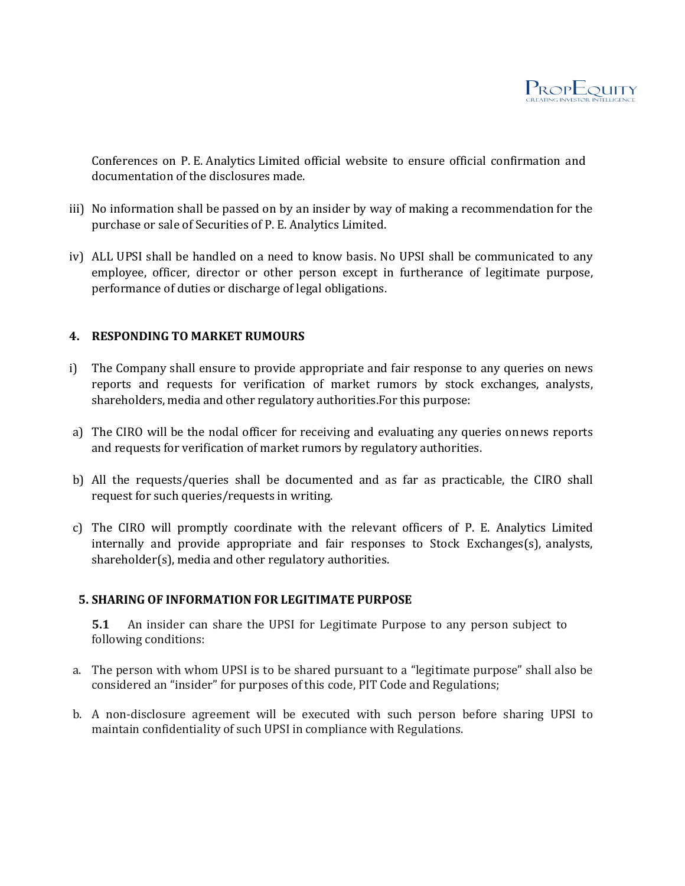

Conferences on P. E. Analytics Limited official website to ensure official confirmation and documentation of the disclosures made.

- iii) No information shall be passed on by an insider by way of making a recommendation for the purchase or sale of Securities of P. E. Analytics Limited.
- iv) ALL UPSI shall be handled on a need to know basis. No UPSI shall be communicated to any employee, officer, director or other person except in furtherance of legitimate purpose, performance of duties or discharge of legal obligations.

# **4. RESPONDING TO MARKET RUMOURS**

- i) The Company shall ensure to provide appropriate and fair response to any queries on news reports and requests for verification of market rumors by stock exchanges, analysts, shareholders, media and other regulatory authorities. For this purpose:
- a) The CIRO will be the nodal officer for receiving and evaluating any queries on news reports and requests for verification of market rumors by regulatory authorities.
- b) All the requests/queries shall be documented and as far as practicable, the CIRO shall request for such queries/requests in writing.
- c) The CIRO will promptly coordinate with the relevant officers of P. E. Analytics Limited internally and provide appropriate and fair responses to Stock Exchanges(s), analysts, shareholder(s), media and other regulatory authorities.

# **5. SHARING OF INFORMATION FOR LEGITIMATE PURPOSE**

**5.1** An insider can share the UPSI for Legitimate Purpose to any person subject to following conditions:

- a. The person with whom UPSI is to be shared pursuant to a "legitimate purpose" shall also be considered an "insider" for purposes of this code, PIT Code and Regulations;
- b. A non-disclosure agreement will be executed with such person before sharing UPSI to maintain confidentiality of such UPSI in compliance with Regulations.